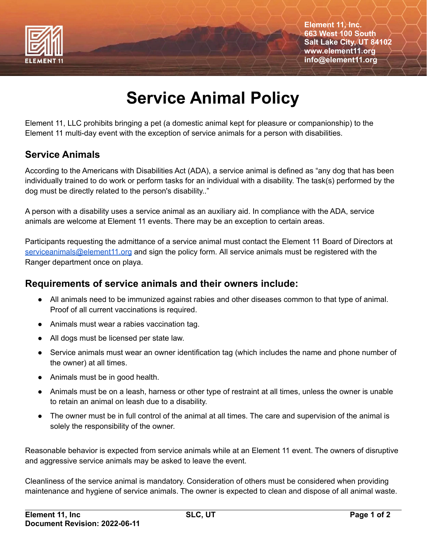

**Element 11, Inc. 663 West 100 South Salt Lake City, UT 84102 www.element11.org info@element11.org**

## **Service Animal Policy**

Element 11, LLC prohibits bringing a pet (a domestic animal kept for pleasure or companionship) to the Element 11 multi-day event with the exception of service animals for a person with disabilities.

## **Service Animals**

According to the Americans with Disabilities Act (ADA), a service animal is defined as "any dog that has been individually trained to do work or perform tasks for an individual with a disability. The task(s) performed by the dog must be directly related to the person's disability.."

A person with a disability uses a service animal as an auxiliary aid. In compliance with the ADA, service animals are welcome at Element 11 events. There may be an exception to certain areas.

Participants requesting the admittance of a service animal must contact the Element 11 Board of Directors at [serviceanimals@element11.org](mailto:serviceanimals@element11.org) and sign the policy form. All service animals must be registered with the Ranger department once on playa.

## **Requirements of service animals and their owners include:**

- All animals need to be immunized against rabies and other diseases common to that type of animal. Proof of all current vaccinations is required.
- Animals must wear a rabies vaccination tag.
- All dogs must be licensed per state law.
- Service animals must wear an owner identification tag (which includes the name and phone number of the owner) at all times.
- Animals must be in good health.
- Animals must be on a leash, harness or other type of restraint at all times, unless the owner is unable to retain an animal on leash due to a disability.
- The owner must be in full control of the animal at all times. The care and supervision of the animal is solely the responsibility of the owner.

Reasonable behavior is expected from service animals while at an Element 11 event. The owners of disruptive and aggressive service animals may be asked to leave the event.

Cleanliness of the service animal is mandatory. Consideration of others must be considered when providing maintenance and hygiene of service animals. The owner is expected to clean and dispose of all animal waste.